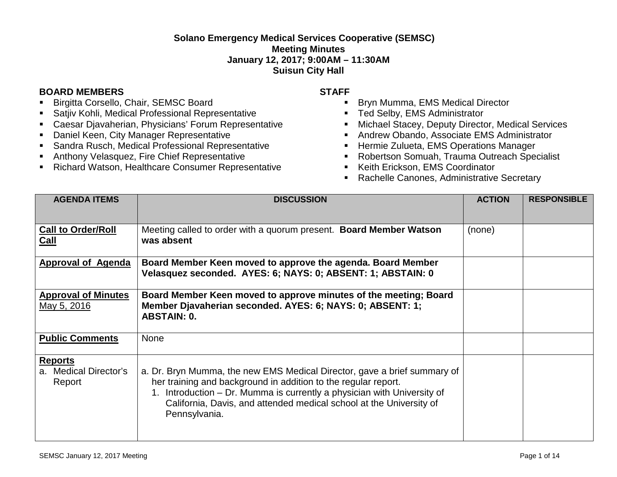## **Solano Emergency Medical Services Cooperative (SEMSC) Meeting Minutes January 12, 2017; 9:00AM – 11:30AM Suisun City Hall**

## **BOARD MEMBERS STAFF**

- Birgitta Corsello, Chair, SEMSC Board
- **Satjiv Kohli, Medical Professional Representative**
- Caesar Djavaherian, Physicians' Forum Representative
- Daniel Keen, City Manager Representative
- **Sandra Rusch, Medical Professional Representative**
- Anthony Velasquez, Fire Chief Representative
- Richard Watson, Healthcare Consumer Representative

- Bryn Mumma, EMS Medical Director
- **Ted Selby, EMS Administrator**
- Michael Stacey, Deputy Director, Medical Services
- Andrew Obando, Associate EMS Administrator
- **Hermie Zulueta, EMS Operations Manager**
- Robertson Somuah, Trauma Outreach Specialist
- Keith Erickson, EMS Coordinator
- **Rachelle Canones, Administrative Secretary**

| <b>AGENDA ITEMS</b>                               | <b>DISCUSSION</b>                                                                                                                                                                                                                                                                                             | <b>ACTION</b> | <b>RESPONSIBLE</b> |
|---------------------------------------------------|---------------------------------------------------------------------------------------------------------------------------------------------------------------------------------------------------------------------------------------------------------------------------------------------------------------|---------------|--------------------|
| <b>Call to Order/Roll</b><br>Call                 | Meeting called to order with a quorum present. Board Member Watson<br>was absent                                                                                                                                                                                                                              | (none)        |                    |
| <b>Approval of Agenda</b>                         | Board Member Keen moved to approve the agenda. Board Member<br>Velasquez seconded. AYES: 6; NAYS: 0; ABSENT: 1; ABSTAIN: 0                                                                                                                                                                                    |               |                    |
| <b>Approval of Minutes</b><br><u>May 5, 2016</u>  | Board Member Keen moved to approve minutes of the meeting; Board<br>Member Djavaherian seconded. AYES: 6; NAYS: 0; ABSENT: 1;<br><b>ABSTAIN: 0.</b>                                                                                                                                                           |               |                    |
| <b>Public Comments</b>                            | <b>None</b>                                                                                                                                                                                                                                                                                                   |               |                    |
| <b>Reports</b><br>a. Medical Director's<br>Report | a. Dr. Bryn Mumma, the new EMS Medical Director, gave a brief summary of<br>her training and background in addition to the regular report.<br>1. Introduction – Dr. Mumma is currently a physician with University of<br>California, Davis, and attended medical school at the University of<br>Pennsylvania. |               |                    |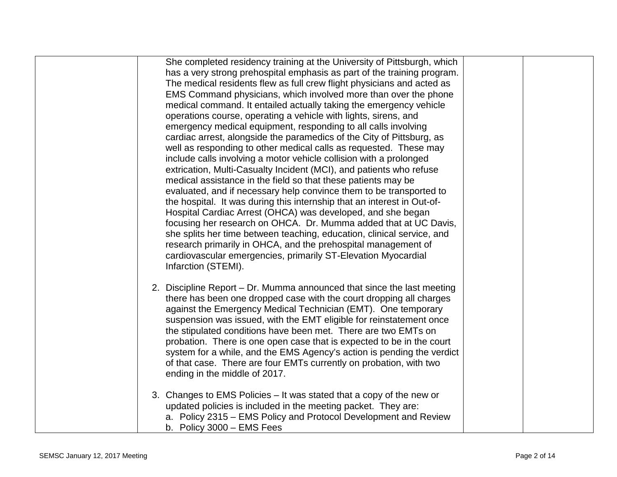| She completed residency training at the University of Pittsburgh, which |
|-------------------------------------------------------------------------|
| has a very strong prehospital emphasis as part of the training program. |
| The medical residents flew as full crew flight physicians and acted as  |
| EMS Command physicians, which involved more than over the phone         |
| medical command. It entailed actually taking the emergency vehicle      |
| operations course, operating a vehicle with lights, sirens, and         |
| emergency medical equipment, responding to all calls involving          |
| cardiac arrest, alongside the paramedics of the City of Pittsburg, as   |
| well as responding to other medical calls as requested. These may       |
| include calls involving a motor vehicle collision with a prolonged      |
| extrication, Multi-Casualty Incident (MCI), and patients who refuse     |
| medical assistance in the field so that these patients may be           |
| evaluated, and if necessary help convince them to be transported to     |
| the hospital. It was during this internship that an interest in Out-of- |
| Hospital Cardiac Arrest (OHCA) was developed, and she began             |
| focusing her research on OHCA. Dr. Mumma added that at UC Davis,        |
| she splits her time between teaching, education, clinical service, and  |
| research primarily in OHCA, and the prehospital management of           |
| cardiovascular emergencies, primarily ST-Elevation Myocardial           |
| Infarction (STEMI).                                                     |
|                                                                         |
| 2. Discipline Report – Dr. Mumma announced that since the last meeting  |
| there has been one dropped case with the court dropping all charges     |
| against the Emergency Medical Technician (EMT). One temporary           |
| suspension was issued, with the EMT eligible for reinstatement once     |
| the stipulated conditions have been met. There are two EMTs on          |
| probation. There is one open case that is expected to be in the court   |
| system for a while, and the EMS Agency's action is pending the verdict  |
| of that case. There are four EMTs currently on probation, with two      |
| ending in the middle of 2017.                                           |
|                                                                         |
| 3. Changes to EMS Policies – It was stated that a copy of the new or    |
| updated policies is included in the meeting packet. They are:           |
| a. Policy 2315 – EMS Policy and Protocol Development and Review         |
| b. Policy $3000 - EMS$ Fees                                             |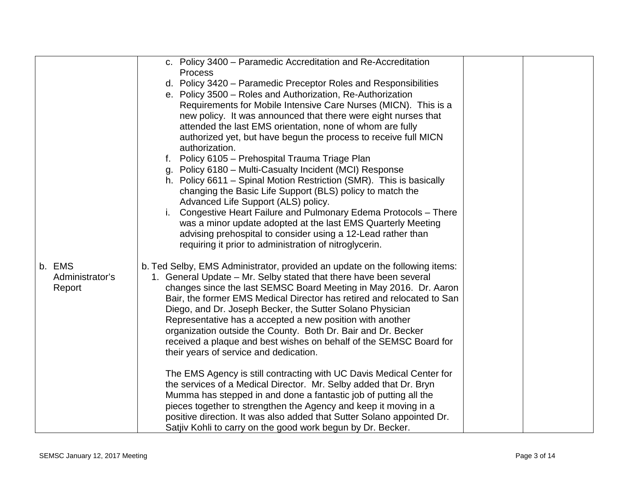|                 | c. Policy 3400 - Paramedic Accreditation and Re-Accreditation               |  |
|-----------------|-----------------------------------------------------------------------------|--|
|                 | <b>Process</b>                                                              |  |
|                 | d. Policy 3420 – Paramedic Preceptor Roles and Responsibilities             |  |
|                 |                                                                             |  |
|                 | e. Policy 3500 - Roles and Authorization, Re-Authorization                  |  |
|                 | Requirements for Mobile Intensive Care Nurses (MICN). This is a             |  |
|                 | new policy. It was announced that there were eight nurses that              |  |
|                 | attended the last EMS orientation, none of whom are fully                   |  |
|                 | authorized yet, but have begun the process to receive full MICN             |  |
|                 | authorization.                                                              |  |
|                 | f. Policy 6105 - Prehospital Trauma Triage Plan                             |  |
|                 | g. Policy 6180 - Multi-Casualty Incident (MCI) Response                     |  |
|                 | h. Policy 6611 – Spinal Motion Restriction (SMR). This is basically         |  |
|                 | changing the Basic Life Support (BLS) policy to match the                   |  |
|                 | Advanced Life Support (ALS) policy.                                         |  |
|                 | Congestive Heart Failure and Pulmonary Edema Protocols - There              |  |
|                 | was a minor update adopted at the last EMS Quarterly Meeting                |  |
|                 | advising prehospital to consider using a 12-Lead rather than                |  |
|                 | requiring it prior to administration of nitroglycerin.                      |  |
|                 |                                                                             |  |
| b. EMS          | b. Ted Selby, EMS Administrator, provided an update on the following items: |  |
| Administrator's | 1. General Update – Mr. Selby stated that there have been several           |  |
| Report          | changes since the last SEMSC Board Meeting in May 2016. Dr. Aaron           |  |
|                 | Bair, the former EMS Medical Director has retired and relocated to San      |  |
|                 | Diego, and Dr. Joseph Becker, the Sutter Solano Physician                   |  |
|                 | Representative has a accepted a new position with another                   |  |
|                 | organization outside the County. Both Dr. Bair and Dr. Becker               |  |
|                 | received a plaque and best wishes on behalf of the SEMSC Board for          |  |
|                 | their years of service and dedication.                                      |  |
|                 |                                                                             |  |
|                 | The EMS Agency is still contracting with UC Davis Medical Center for        |  |
|                 | the services of a Medical Director. Mr. Selby added that Dr. Bryn           |  |
|                 | Mumma has stepped in and done a fantastic job of putting all the            |  |
|                 | pieces together to strengthen the Agency and keep it moving in a            |  |
|                 | positive direction. It was also added that Sutter Solano appointed Dr.      |  |
|                 | Satjiv Kohli to carry on the good work begun by Dr. Becker.                 |  |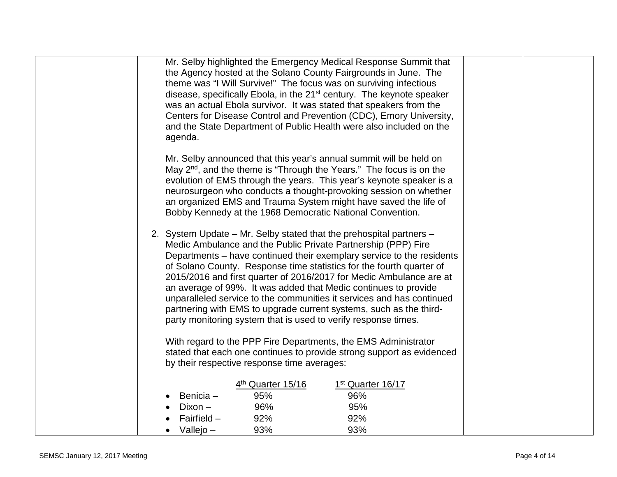| Mr. Selby highlighted the Emergency Medical Response Summit that                                                                            |
|---------------------------------------------------------------------------------------------------------------------------------------------|
| the Agency hosted at the Solano County Fairgrounds in June. The<br>theme was "I Will Survive!" The focus was on surviving infectious        |
| disease, specifically Ebola, in the 21 <sup>st</sup> century. The keynote speaker                                                           |
| was an actual Ebola survivor. It was stated that speakers from the                                                                          |
| Centers for Disease Control and Prevention (CDC), Emory University,                                                                         |
| and the State Department of Public Health were also included on the                                                                         |
| agenda.                                                                                                                                     |
| Mr. Selby announced that this year's annual summit will be held on                                                                          |
| May $2^{nd}$ , and the theme is "Through the Years." The focus is on the                                                                    |
| evolution of EMS through the years. This year's keynote speaker is a                                                                        |
| neurosurgeon who conducts a thought-provoking session on whether                                                                            |
| an organized EMS and Trauma System might have saved the life of<br>Bobby Kennedy at the 1968 Democratic National Convention.                |
|                                                                                                                                             |
| 2. System Update – Mr. Selby stated that the prehospital partners –                                                                         |
| Medic Ambulance and the Public Private Partnership (PPP) Fire                                                                               |
| Departments – have continued their exemplary service to the residents                                                                       |
| of Solano County. Response time statistics for the fourth quarter of<br>2015/2016 and first quarter of 2016/2017 for Medic Ambulance are at |
| an average of 99%. It was added that Medic continues to provide                                                                             |
| unparalleled service to the communities it services and has continued                                                                       |
| partnering with EMS to upgrade current systems, such as the third-                                                                          |
| party monitoring system that is used to verify response times.                                                                              |
| With regard to the PPP Fire Departments, the EMS Administrator                                                                              |
| stated that each one continues to provide strong support as evidenced                                                                       |
| by their respective response time averages:                                                                                                 |
|                                                                                                                                             |
| 4 <sup>th</sup> Quarter 15/16<br>1st Quarter 16/17                                                                                          |
| Benicia -<br>95%<br>96%<br>96%<br>95%<br>Dixon –                                                                                            |
| Fairfield $-$<br>92%<br>92%                                                                                                                 |
| $\bullet$ Vallejo –<br>93%<br>93%                                                                                                           |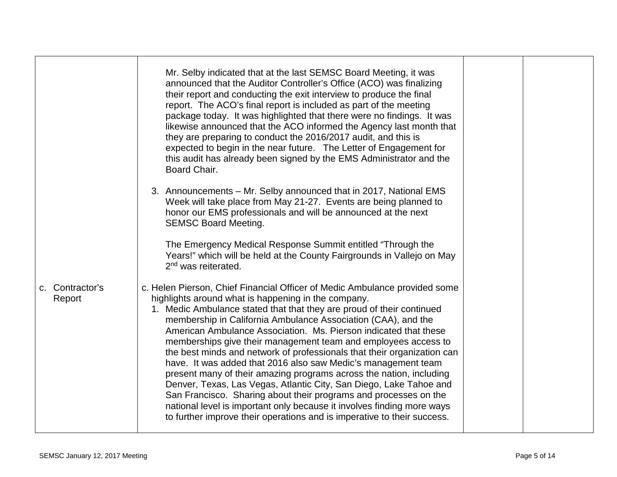|                           | Mr. Selby indicated that at the last SEMSC Board Meeting, it was<br>announced that the Auditor Controller's Office (ACO) was finalizing<br>their report and conducting the exit interview to produce the final<br>report. The ACO's final report is included as part of the meeting<br>package today. It was highlighted that there were no findings. It was<br>likewise announced that the ACO informed the Agency last month that<br>they are preparing to conduct the 2016/2017 audit, and this is<br>expected to begin in the near future. The Letter of Engagement for<br>this audit has already been signed by the EMS Administrator and the<br>Board Chair.                                                                                                                                                                                                                                                                  |  |
|---------------------------|-------------------------------------------------------------------------------------------------------------------------------------------------------------------------------------------------------------------------------------------------------------------------------------------------------------------------------------------------------------------------------------------------------------------------------------------------------------------------------------------------------------------------------------------------------------------------------------------------------------------------------------------------------------------------------------------------------------------------------------------------------------------------------------------------------------------------------------------------------------------------------------------------------------------------------------|--|
|                           | 3. Announcements - Mr. Selby announced that in 2017, National EMS<br>Week will take place from May 21-27. Events are being planned to<br>honor our EMS professionals and will be announced at the next<br><b>SEMSC Board Meeting.</b><br>The Emergency Medical Response Summit entitled "Through the                                                                                                                                                                                                                                                                                                                                                                                                                                                                                                                                                                                                                                |  |
|                           | Years!" which will be held at the County Fairgrounds in Vallejo on May<br>$2nd$ was reiterated.                                                                                                                                                                                                                                                                                                                                                                                                                                                                                                                                                                                                                                                                                                                                                                                                                                     |  |
| c. Contractor's<br>Report | c. Helen Pierson, Chief Financial Officer of Medic Ambulance provided some<br>highlights around what is happening in the company.<br>1. Medic Ambulance stated that that they are proud of their continued<br>membership in California Ambulance Association (CAA), and the<br>American Ambulance Association. Ms. Pierson indicated that these<br>memberships give their management team and employees access to<br>the best minds and network of professionals that their organization can<br>have. It was added that 2016 also saw Medic's management team<br>present many of their amazing programs across the nation, including<br>Denver, Texas, Las Vegas, Atlantic City, San Diego, Lake Tahoe and<br>San Francisco. Sharing about their programs and processes on the<br>national level is important only because it involves finding more ways<br>to further improve their operations and is imperative to their success. |  |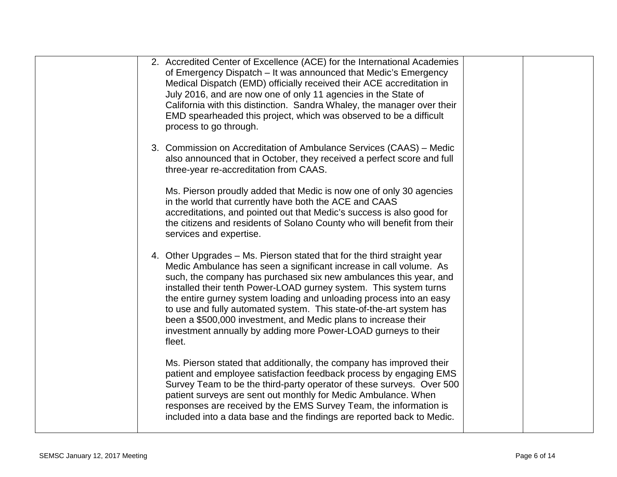| 2. Accredited Center of Excellence (ACE) for the International Academies<br>of Emergency Dispatch – It was announced that Medic's Emergency<br>Medical Dispatch (EMD) officially received their ACE accreditation in<br>July 2016, and are now one of only 11 agencies in the State of<br>California with this distinction. Sandra Whaley, the manager over their<br>EMD spearheaded this project, which was observed to be a difficult<br>process to go through.                                                                                                                   |  |
|-------------------------------------------------------------------------------------------------------------------------------------------------------------------------------------------------------------------------------------------------------------------------------------------------------------------------------------------------------------------------------------------------------------------------------------------------------------------------------------------------------------------------------------------------------------------------------------|--|
| 3. Commission on Accreditation of Ambulance Services (CAAS) – Medic<br>also announced that in October, they received a perfect score and full<br>three-year re-accreditation from CAAS.                                                                                                                                                                                                                                                                                                                                                                                             |  |
| Ms. Pierson proudly added that Medic is now one of only 30 agencies<br>in the world that currently have both the ACE and CAAS<br>accreditations, and pointed out that Medic's success is also good for<br>the citizens and residents of Solano County who will benefit from their<br>services and expertise.                                                                                                                                                                                                                                                                        |  |
| 4. Other Upgrades - Ms. Pierson stated that for the third straight year<br>Medic Ambulance has seen a significant increase in call volume. As<br>such, the company has purchased six new ambulances this year, and<br>installed their tenth Power-LOAD gurney system. This system turns<br>the entire gurney system loading and unloading process into an easy<br>to use and fully automated system. This state-of-the-art system has<br>been a \$500,000 investment, and Medic plans to increase their<br>investment annually by adding more Power-LOAD gurneys to their<br>fleet. |  |
| Ms. Pierson stated that additionally, the company has improved their<br>patient and employee satisfaction feedback process by engaging EMS<br>Survey Team to be the third-party operator of these surveys. Over 500<br>patient surveys are sent out monthly for Medic Ambulance. When<br>responses are received by the EMS Survey Team, the information is<br>included into a data base and the findings are reported back to Medic.                                                                                                                                                |  |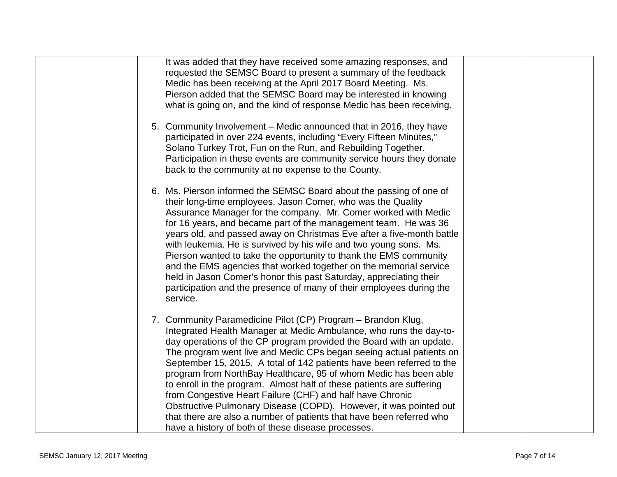| It was added that they have received some amazing responses, and<br>requested the SEMSC Board to present a summary of the feedback<br>Medic has been receiving at the April 2017 Board Meeting. Ms.<br>Pierson added that the SEMSC Board may be interested in knowing<br>what is going on, and the kind of response Medic has been receiving.                                                                                                                                                                                                                                                                                                                                                                                                                         |
|------------------------------------------------------------------------------------------------------------------------------------------------------------------------------------------------------------------------------------------------------------------------------------------------------------------------------------------------------------------------------------------------------------------------------------------------------------------------------------------------------------------------------------------------------------------------------------------------------------------------------------------------------------------------------------------------------------------------------------------------------------------------|
| 5. Community Involvement – Medic announced that in 2016, they have<br>participated in over 224 events, including "Every Fifteen Minutes,"<br>Solano Turkey Trot, Fun on the Run, and Rebuilding Together.<br>Participation in these events are community service hours they donate<br>back to the community at no expense to the County.                                                                                                                                                                                                                                                                                                                                                                                                                               |
| 6. Ms. Pierson informed the SEMSC Board about the passing of one of<br>their long-time employees, Jason Comer, who was the Quality<br>Assurance Manager for the company. Mr. Comer worked with Medic<br>for 16 years, and became part of the management team. He was 36<br>years old, and passed away on Christmas Eve after a five-month battle<br>with leukemia. He is survived by his wife and two young sons. Ms.<br>Pierson wanted to take the opportunity to thank the EMS community<br>and the EMS agencies that worked together on the memorial service<br>held in Jason Comer's honor this past Saturday, appreciating their<br>participation and the presence of many of their employees during the<br>service.                                              |
| 7. Community Paramedicine Pilot (CP) Program - Brandon Klug,<br>Integrated Health Manager at Medic Ambulance, who runs the day-to-<br>day operations of the CP program provided the Board with an update.<br>The program went live and Medic CPs began seeing actual patients on<br>September 15, 2015. A total of 142 patients have been referred to the<br>program from NorthBay Healthcare, 95 of whom Medic has been able<br>to enroll in the program. Almost half of these patients are suffering<br>from Congestive Heart Failure (CHF) and half have Chronic<br>Obstructive Pulmonary Disease (COPD). However, it was pointed out<br>that there are also a number of patients that have been referred who<br>have a history of both of these disease processes. |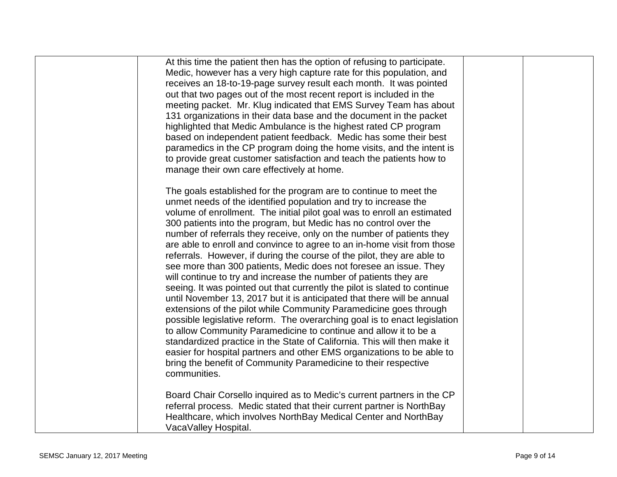| At this time the patient then has the option of refusing to participate.  |  |
|---------------------------------------------------------------------------|--|
| Medic, however has a very high capture rate for this population, and      |  |
| receives an 18-to-19-page survey result each month. It was pointed        |  |
| out that two pages out of the most recent report is included in the       |  |
| meeting packet. Mr. Klug indicated that EMS Survey Team has about         |  |
| 131 organizations in their data base and the document in the packet       |  |
| highlighted that Medic Ambulance is the highest rated CP program          |  |
| based on independent patient feedback. Medic has some their best          |  |
| paramedics in the CP program doing the home visits, and the intent is     |  |
| to provide great customer satisfaction and teach the patients how to      |  |
| manage their own care effectively at home.                                |  |
| The goals established for the program are to continue to meet the         |  |
| unmet needs of the identified population and try to increase the          |  |
| volume of enrollment. The initial pilot goal was to enroll an estimated   |  |
| 300 patients into the program, but Medic has no control over the          |  |
| number of referrals they receive, only on the number of patients they     |  |
| are able to enroll and convince to agree to an in-home visit from those   |  |
| referrals. However, if during the course of the pilot, they are able to   |  |
| see more than 300 patients, Medic does not foresee an issue. They         |  |
| will continue to try and increase the number of patients they are         |  |
| seeing. It was pointed out that currently the pilot is slated to continue |  |
| until November 13, 2017 but it is anticipated that there will be annual   |  |
| extensions of the pilot while Community Paramedicine goes through         |  |
| possible legislative reform. The overarching goal is to enact legislation |  |
| to allow Community Paramedicine to continue and allow it to be a          |  |
| standardized practice in the State of California. This will then make it  |  |
| easier for hospital partners and other EMS organizations to be able to    |  |
|                                                                           |  |
| bring the benefit of Community Paramedicine to their respective           |  |
| communities.                                                              |  |
| Board Chair Corsello inquired as to Medic's current partners in the CP    |  |
| referral process. Medic stated that their current partner is NorthBay     |  |
| Healthcare, which involves NorthBay Medical Center and NorthBay           |  |
| VacaValley Hospital.                                                      |  |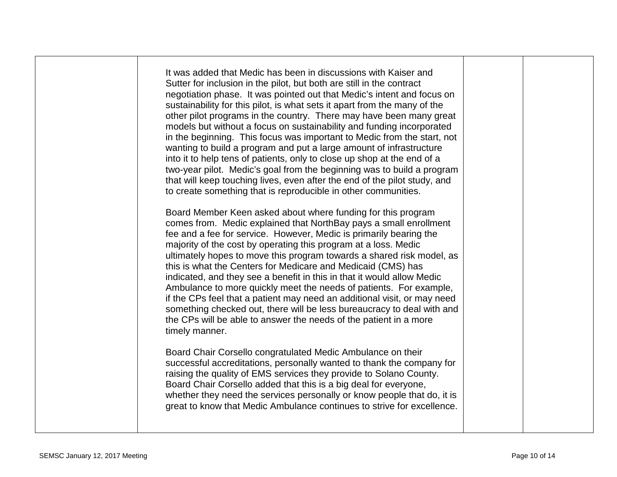| It was added that Medic has been in discussions with Kaiser and<br>Sutter for inclusion in the pilot, but both are still in the contract<br>negotiation phase. It was pointed out that Medic's intent and focus on<br>sustainability for this pilot, is what sets it apart from the many of the<br>other pilot programs in the country. There may have been many great<br>models but without a focus on sustainability and funding incorporated<br>in the beginning. This focus was important to Medic from the start, not<br>wanting to build a program and put a large amount of infrastructure<br>into it to help tens of patients, only to close up shop at the end of a<br>two-year pilot. Medic's goal from the beginning was to build a program<br>that will keep touching lives, even after the end of the pilot study, and<br>to create something that is reproducible in other communities. |  |  |
|-------------------------------------------------------------------------------------------------------------------------------------------------------------------------------------------------------------------------------------------------------------------------------------------------------------------------------------------------------------------------------------------------------------------------------------------------------------------------------------------------------------------------------------------------------------------------------------------------------------------------------------------------------------------------------------------------------------------------------------------------------------------------------------------------------------------------------------------------------------------------------------------------------|--|--|
| Board Member Keen asked about where funding for this program<br>comes from. Medic explained that NorthBay pays a small enrollment<br>fee and a fee for service. However, Medic is primarily bearing the<br>majority of the cost by operating this program at a loss. Medic<br>ultimately hopes to move this program towards a shared risk model, as<br>this is what the Centers for Medicare and Medicaid (CMS) has<br>indicated, and they see a benefit in this in that it would allow Medic<br>Ambulance to more quickly meet the needs of patients. For example,<br>if the CPs feel that a patient may need an additional visit, or may need<br>something checked out, there will be less bureaucracy to deal with and<br>the CPs will be able to answer the needs of the patient in a more<br>timely manner.                                                                                      |  |  |
| Board Chair Corsello congratulated Medic Ambulance on their<br>successful accreditations, personally wanted to thank the company for<br>raising the quality of EMS services they provide to Solano County.<br>Board Chair Corsello added that this is a big deal for everyone,<br>whether they need the services personally or know people that do, it is<br>great to know that Medic Ambulance continues to strive for excellence.                                                                                                                                                                                                                                                                                                                                                                                                                                                                   |  |  |
|                                                                                                                                                                                                                                                                                                                                                                                                                                                                                                                                                                                                                                                                                                                                                                                                                                                                                                       |  |  |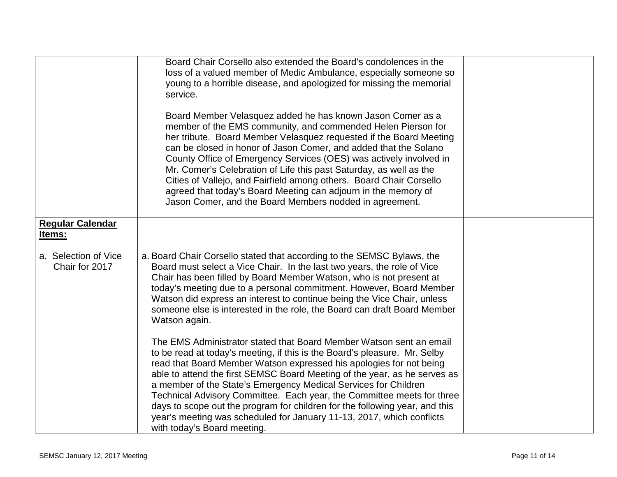|                                        | Board Chair Corsello also extended the Board's condolences in the                                                                                                                                                                                                                                                                                                                                                                                                                                                                                                                                                                        |  |
|----------------------------------------|------------------------------------------------------------------------------------------------------------------------------------------------------------------------------------------------------------------------------------------------------------------------------------------------------------------------------------------------------------------------------------------------------------------------------------------------------------------------------------------------------------------------------------------------------------------------------------------------------------------------------------------|--|
|                                        | loss of a valued member of Medic Ambulance, especially someone so                                                                                                                                                                                                                                                                                                                                                                                                                                                                                                                                                                        |  |
|                                        | young to a horrible disease, and apologized for missing the memorial                                                                                                                                                                                                                                                                                                                                                                                                                                                                                                                                                                     |  |
|                                        | service.                                                                                                                                                                                                                                                                                                                                                                                                                                                                                                                                                                                                                                 |  |
|                                        |                                                                                                                                                                                                                                                                                                                                                                                                                                                                                                                                                                                                                                          |  |
|                                        | Board Member Velasquez added he has known Jason Comer as a<br>member of the EMS community, and commended Helen Pierson for<br>her tribute. Board Member Velasquez requested if the Board Meeting<br>can be closed in honor of Jason Comer, and added that the Solano<br>County Office of Emergency Services (OES) was actively involved in<br>Mr. Comer's Celebration of Life this past Saturday, as well as the<br>Cities of Vallejo, and Fairfield among others. Board Chair Corsello<br>agreed that today's Board Meeting can adjourn in the memory of<br>Jason Comer, and the Board Members nodded in agreement.                     |  |
| <b>Regular Calendar</b>                |                                                                                                                                                                                                                                                                                                                                                                                                                                                                                                                                                                                                                                          |  |
| Items:                                 |                                                                                                                                                                                                                                                                                                                                                                                                                                                                                                                                                                                                                                          |  |
|                                        |                                                                                                                                                                                                                                                                                                                                                                                                                                                                                                                                                                                                                                          |  |
| a. Selection of Vice<br>Chair for 2017 | a. Board Chair Corsello stated that according to the SEMSC Bylaws, the<br>Board must select a Vice Chair. In the last two years, the role of Vice<br>Chair has been filled by Board Member Watson, who is not present at<br>today's meeting due to a personal commitment. However, Board Member<br>Watson did express an interest to continue being the Vice Chair, unless<br>someone else is interested in the role, the Board can draft Board Member<br>Watson again.                                                                                                                                                                  |  |
|                                        | The EMS Administrator stated that Board Member Watson sent an email<br>to be read at today's meeting, if this is the Board's pleasure. Mr. Selby<br>read that Board Member Watson expressed his apologies for not being<br>able to attend the first SEMSC Board Meeting of the year, as he serves as<br>a member of the State's Emergency Medical Services for Children<br>Technical Advisory Committee. Each year, the Committee meets for three<br>days to scope out the program for children for the following year, and this<br>year's meeting was scheduled for January 11-13, 2017, which conflicts<br>with today's Board meeting. |  |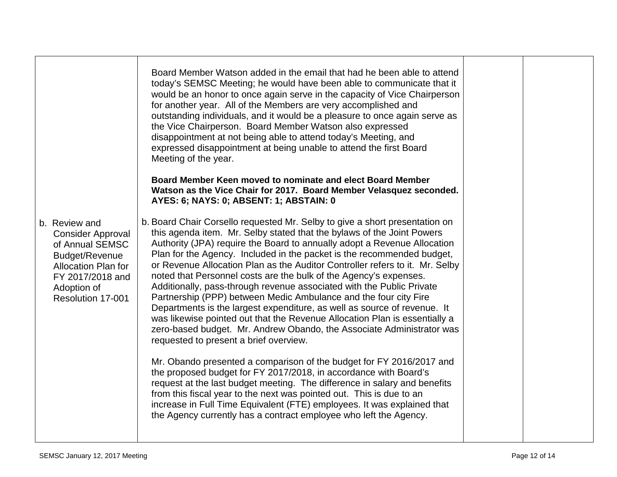| Board Member Watson added in the email that had he been able to attend<br>today's SEMSC Meeting; he would have been able to communicate that it<br>would be an honor to once again serve in the capacity of Vice Chairperson<br>for another year. All of the Members are very accomplished and<br>outstanding individuals, and it would be a pleasure to once again serve as<br>the Vice Chairperson. Board Member Watson also expressed<br>disappointment at not being able to attend today's Meeting, and<br>expressed disappointment at being unable to attend the first Board<br>Meeting of the year.                                                                                                                                                                                                                                                                                  |                                                            |  |
|--------------------------------------------------------------------------------------------------------------------------------------------------------------------------------------------------------------------------------------------------------------------------------------------------------------------------------------------------------------------------------------------------------------------------------------------------------------------------------------------------------------------------------------------------------------------------------------------------------------------------------------------------------------------------------------------------------------------------------------------------------------------------------------------------------------------------------------------------------------------------------------------|------------------------------------------------------------|--|
| Watson as the Vice Chair for 2017. Board Member Velasquez seconded.<br>AYES: 6; NAYS: 0; ABSENT: 1; ABSTAIN: 0                                                                                                                                                                                                                                                                                                                                                                                                                                                                                                                                                                                                                                                                                                                                                                             |                                                            |  |
| b. Board Chair Corsello requested Mr. Selby to give a short presentation on<br>this agenda item. Mr. Selby stated that the bylaws of the Joint Powers<br>Authority (JPA) require the Board to annually adopt a Revenue Allocation<br>Plan for the Agency. Included in the packet is the recommended budget,<br>or Revenue Allocation Plan as the Auditor Controller refers to it. Mr. Selby<br>noted that Personnel costs are the bulk of the Agency's expenses.<br>Additionally, pass-through revenue associated with the Public Private<br>Partnership (PPP) between Medic Ambulance and the four city Fire<br>Departments is the largest expenditure, as well as source of revenue. It<br>was likewise pointed out that the Revenue Allocation Plan is essentially a<br>zero-based budget. Mr. Andrew Obando, the Associate Administrator was<br>requested to present a brief overview. |                                                            |  |
| Mr. Obando presented a comparison of the budget for FY 2016/2017 and<br>the proposed budget for FY 2017/2018, in accordance with Board's<br>request at the last budget meeting. The difference in salary and benefits<br>from this fiscal year to the next was pointed out. This is due to an<br>increase in Full Time Equivalent (FTE) employees. It was explained that<br>the Agency currently has a contract employee who left the Agency.                                                                                                                                                                                                                                                                                                                                                                                                                                              |                                                            |  |
|                                                                                                                                                                                                                                                                                                                                                                                                                                                                                                                                                                                                                                                                                                                                                                                                                                                                                            | Board Member Keen moved to nominate and elect Board Member |  |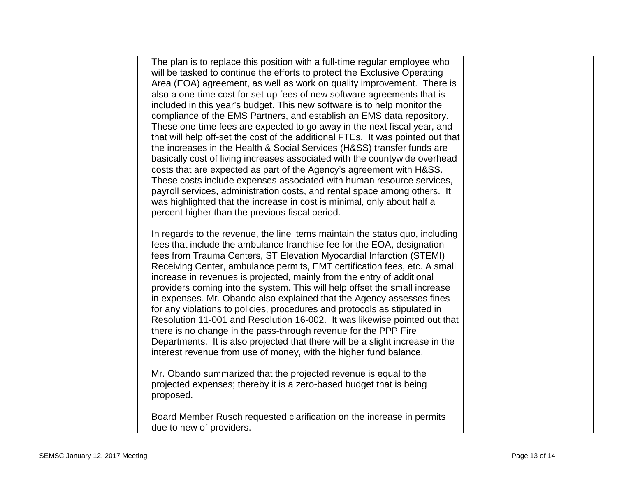| The plan is to replace this position with a full-time regular employee who<br>will be tasked to continue the efforts to protect the Exclusive Operating<br>Area (EOA) agreement, as well as work on quality improvement. There is<br>also a one-time cost for set-up fees of new software agreements that is<br>included in this year's budget. This new software is to help monitor the<br>compliance of the EMS Partners, and establish an EMS data repository.<br>These one-time fees are expected to go away in the next fiscal year, and<br>that will help off-set the cost of the additional FTEs. It was pointed out that<br>the increases in the Health & Social Services (H&SS) transfer funds are<br>basically cost of living increases associated with the countywide overhead<br>costs that are expected as part of the Agency's agreement with H&SS.<br>These costs include expenses associated with human resource services,<br>payroll services, administration costs, and rental space among others. It<br>was highlighted that the increase in cost is minimal, only about half a<br>percent higher than the previous fiscal period. |  |
|-------------------------------------------------------------------------------------------------------------------------------------------------------------------------------------------------------------------------------------------------------------------------------------------------------------------------------------------------------------------------------------------------------------------------------------------------------------------------------------------------------------------------------------------------------------------------------------------------------------------------------------------------------------------------------------------------------------------------------------------------------------------------------------------------------------------------------------------------------------------------------------------------------------------------------------------------------------------------------------------------------------------------------------------------------------------------------------------------------------------------------------------------------|--|
|                                                                                                                                                                                                                                                                                                                                                                                                                                                                                                                                                                                                                                                                                                                                                                                                                                                                                                                                                                                                                                                                                                                                                       |  |
|                                                                                                                                                                                                                                                                                                                                                                                                                                                                                                                                                                                                                                                                                                                                                                                                                                                                                                                                                                                                                                                                                                                                                       |  |
| In regards to the revenue, the line items maintain the status quo, including<br>fees that include the ambulance franchise fee for the EOA, designation<br>fees from Trauma Centers, ST Elevation Myocardial Infarction (STEMI)<br>Receiving Center, ambulance permits, EMT certification fees, etc. A small<br>increase in revenues is projected, mainly from the entry of additional<br>providers coming into the system. This will help offset the small increase<br>in expenses. Mr. Obando also explained that the Agency assesses fines<br>for any violations to policies, procedures and protocols as stipulated in<br>Resolution 11-001 and Resolution 16-002. It was likewise pointed out that<br>there is no change in the pass-through revenue for the PPP Fire<br>Departments. It is also projected that there will be a slight increase in the<br>interest revenue from use of money, with the higher fund balance.<br>Mr. Obando summarized that the projected revenue is equal to the                                                                                                                                                   |  |
| projected expenses; thereby it is a zero-based budget that is being<br>proposed.                                                                                                                                                                                                                                                                                                                                                                                                                                                                                                                                                                                                                                                                                                                                                                                                                                                                                                                                                                                                                                                                      |  |
| Board Member Rusch requested clarification on the increase in permits<br>due to new of providers.                                                                                                                                                                                                                                                                                                                                                                                                                                                                                                                                                                                                                                                                                                                                                                                                                                                                                                                                                                                                                                                     |  |